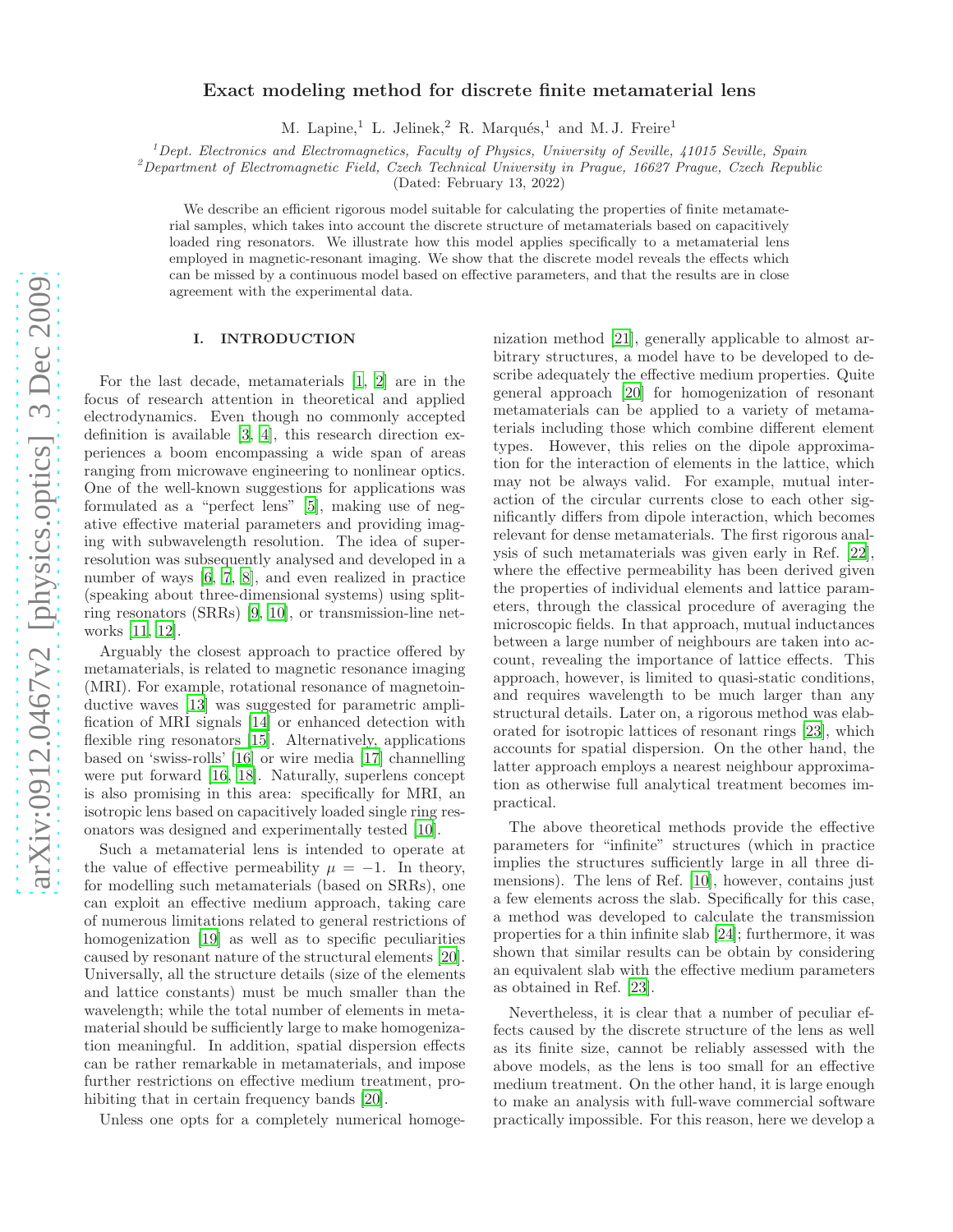# Exact modeling method for discrete finite metamaterial lens

M. Lapine,<sup>1</sup> L. Jelinek,<sup>2</sup> R. Marqués,<sup>1</sup> and M. J. Freire<sup>1</sup>

 $1$  Dept. Electronics and Electromagnetics, Faculty of Physics, University of Seville, 41015 Seville, Spain

 $^{2}$ Department of Electromagnetic Field, Czech Technical University in Prague, 16627 Prague, Czech Republic

(Dated: February 13, 2022)

We describe an efficient rigorous model suitable for calculating the properties of finite metamaterial samples, which takes into account the discrete structure of metamaterials based on capacitively loaded ring resonators. We illustrate how this model applies specifically to a metamaterial lens employed in magnetic-resonant imaging. We show that the discrete model reveals the effects which can be missed by a continuous model based on effective parameters, and that the results are in close agreement with the experimental data.

### I. INTRODUCTION

For the last decade, metamaterials [\[1,](#page-5-0) [2\]](#page-5-1) are in the focus of research attention in theoretical and applied electrodynamics. Even though no commonly accepted definition is available [\[3](#page-5-2), [4\]](#page-5-3), this research direction experiences a boom encompassing a wide span of areas ranging from microwave engineering to nonlinear optics. One of the well-known suggestions for applications was formulated as a "perfect lens" [\[5\]](#page-5-4), making use of negative effective material parameters and providing imaging with subwavelength resolution. The idea of superresolution was subsequently analysed and developed in a number of ways [\[6](#page-5-5), [7,](#page-5-6) [8\]](#page-5-7), and even realized in practice (speaking about three-dimensional systems) using splitring resonators (SRRs) [\[9](#page-5-8), [10\]](#page-5-9), or transmission-line networks [\[11](#page-6-0), [12](#page-6-1)].

Arguably the closest approach to practice offered by metamaterials, is related to magnetic resonance imaging (MRI). For example, rotational resonance of magnetoinductive waves [\[13\]](#page-6-2) was suggested for parametric amplification of MRI signals [\[14\]](#page-6-3) or enhanced detection with flexible ring resonators [\[15](#page-6-4)]. Alternatively, applications based on 'swiss-rolls' [\[16](#page-6-5)] or wire media [\[17\]](#page-6-6) channelling were put forward [\[16](#page-6-5), [18\]](#page-6-7). Naturally, superlens concept is also promising in this area: specifically for MRI, an isotropic lens based on capacitively loaded single ring resonators was designed and experimentally tested [\[10](#page-5-9)].

Such a metamaterial lens is intended to operate at the value of effective permeability  $\mu = -1$ . In theory, for modelling such metamaterials (based on SRRs), one can exploit an effective medium approach, taking care of numerous limitations related to general restrictions of homogenization [\[19\]](#page-6-8) as well as to specific peculiarities caused by resonant nature of the structural elements [\[20\]](#page-6-9). Universally, all the structure details (size of the elements and lattice constants) must be much smaller than the wavelength; while the total number of elements in metamaterial should be sufficiently large to make homogenization meaningful. In addition, spatial dispersion effects can be rather remarkable in metamaterials, and impose further restrictions on effective medium treatment, pro-hibiting that in certain frequency bands [\[20](#page-6-9)].

Unless one opts for a completely numerical homoge-

nization method [\[21\]](#page-6-10), generally applicable to almost arbitrary structures, a model have to be developed to describe adequately the effective medium properties. Quite general approach [\[20\]](#page-6-9) for homogenization of resonant metamaterials can be applied to a variety of metamaterials including those which combine different element types. However, this relies on the dipole approximation for the interaction of elements in the lattice, which may not be always valid. For example, mutual interaction of the circular currents close to each other significantly differs from dipole interaction, which becomes relevant for dense metamaterials. The first rigorous analysis of such metamaterials was given early in Ref. [\[22\]](#page-6-11), where the effective permeability has been derived given the properties of individual elements and lattice parameters, through the classical procedure of averaging the microscopic fields. In that approach, mutual inductances between a large number of neighbours are taken into account, revealing the importance of lattice effects. This approach, however, is limited to quasi-static conditions, and requires wavelength to be much larger than any structural details. Later on, a rigorous method was elaborated for isotropic lattices of resonant rings [\[23\]](#page-6-12), which accounts for spatial dispersion. On the other hand, the latter approach employs a nearest neighbour approximation as otherwise full analytical treatment becomes impractical.

The above theoretical methods provide the effective parameters for "infinite" structures (which in practice implies the structures sufficiently large in all three dimensions). The lens of Ref. [\[10\]](#page-5-9), however, contains just a few elements across the slab. Specifically for this case, a method was developed to calculate the transmission properties for a thin infinite slab [\[24](#page-6-13)]; furthermore, it was shown that similar results can be obtain by considering an equivalent slab with the effective medium parameters as obtained in Ref. [\[23\]](#page-6-12).

Nevertheless, it is clear that a number of peculiar effects caused by the discrete structure of the lens as well as its finite size, cannot be reliably assessed with the above models, as the lens is too small for an effective medium treatment. On the other hand, it is large enough to make an analysis with full-wave commercial software practically impossible. For this reason, here we develop a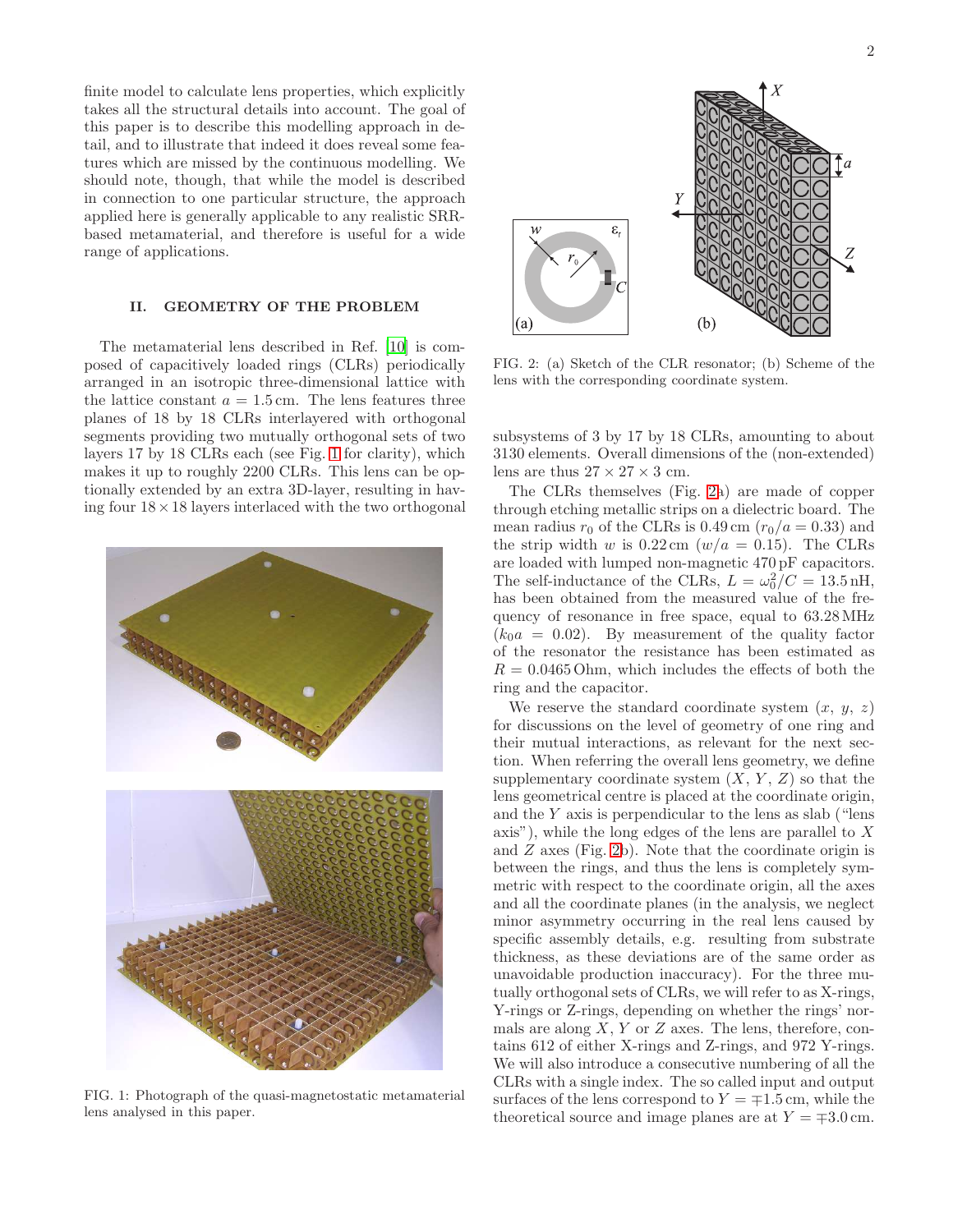finite model to calculate lens properties, which explicitly takes all the structural details into account. The goal of this paper is to describe this modelling approach in detail, and to illustrate that indeed it does reveal some features which are missed by the continuous modelling. We should note, though, that while the model is described in connection to one particular structure, the approach applied here is generally applicable to any realistic SRRbased metamaterial, and therefore is useful for a wide range of applications.

## II. GEOMETRY OF THE PROBLEM

The metamaterial lens described in Ref. [\[10](#page-5-9)] is composed of capacitively loaded rings (CLRs) periodically arranged in an isotropic three-dimensional lattice with the lattice constant  $a = 1.5$  cm. The lens features three planes of 18 by 18 CLRs interlayered with orthogonal segments providing two mutually orthogonal sets of two layers 17 by 18 CLRs each (see Fig. [1](#page-1-0) for clarity), which makes it up to roughly 2200 CLRs. This lens can be optionally extended by an extra 3D-layer, resulting in having four  $18 \times 18$  layers interlaced with the two orthogonal



FIG. 1: Photograph of the quasi-magnetostatic metamaterial lens analysed in this paper.

 $(b)$ (a)

<span id="page-1-1"></span>FIG. 2: (a) Sketch of the CLR resonator; (b) Scheme of the lens with the corresponding coordinate system.

subsystems of 3 by 17 by 18 CLRs, amounting to about 3130 elements. Overall dimensions of the (non-extended) lens are thus  $27 \times 27 \times 3$  cm.

The CLRs themselves (Fig. [2a](#page-1-1)) are made of copper through etching metallic strips on a dielectric board. The mean radius  $r_0$  of the CLRs is 0.49 cm  $(r_0/a = 0.33)$  and the strip width w is  $0.22 \text{ cm } (w/a = 0.15)$ . The CLRs are loaded with lumped non-magnetic 470 pF capacitors. The self-inductance of the CLRs,  $L = \omega_0^2/C = 13.5 \text{ nH}$ , has been obtained from the measured value of the frequency of resonance in free space, equal to 63.28MHz  $(k_0a = 0.02)$ . By measurement of the quality factor of the resonator the resistance has been estimated as  $R = 0.0465$  Ohm, which includes the effects of both the ring and the capacitor.

<span id="page-1-0"></span>We reserve the standard coordinate system  $(x, y, z)$ for discussions on the level of geometry of one ring and their mutual interactions, as relevant for the next section. When referring the overall lens geometry, we define supplementary coordinate system  $(X, Y, Z)$  so that the lens geometrical centre is placed at the coordinate origin, and the Y axis is perpendicular to the lens as slab ("lens axis"), while the long edges of the lens are parallel to X and Z axes (Fig. [2b](#page-1-1)). Note that the coordinate origin is between the rings, and thus the lens is completely symmetric with respect to the coordinate origin, all the axes and all the coordinate planes (in the analysis, we neglect minor asymmetry occurring in the real lens caused by specific assembly details, e.g. resulting from substrate thickness, as these deviations are of the same order as unavoidable production inaccuracy). For the three mutually orthogonal sets of CLRs, we will refer to as X-rings, Y-rings or Z-rings, depending on whether the rings' normals are along  $X, Y$  or  $Z$  axes. The lens, therefore, contains 612 of either X-rings and Z-rings, and 972 Y-rings. We will also introduce a consecutive numbering of all the CLRs with a single index. The so called input and output surfaces of the lens correspond to  $Y = \pm 1.5$  cm, while the theoretical source and image planes are at  $Y = \pm 3.0 \text{ cm}$ .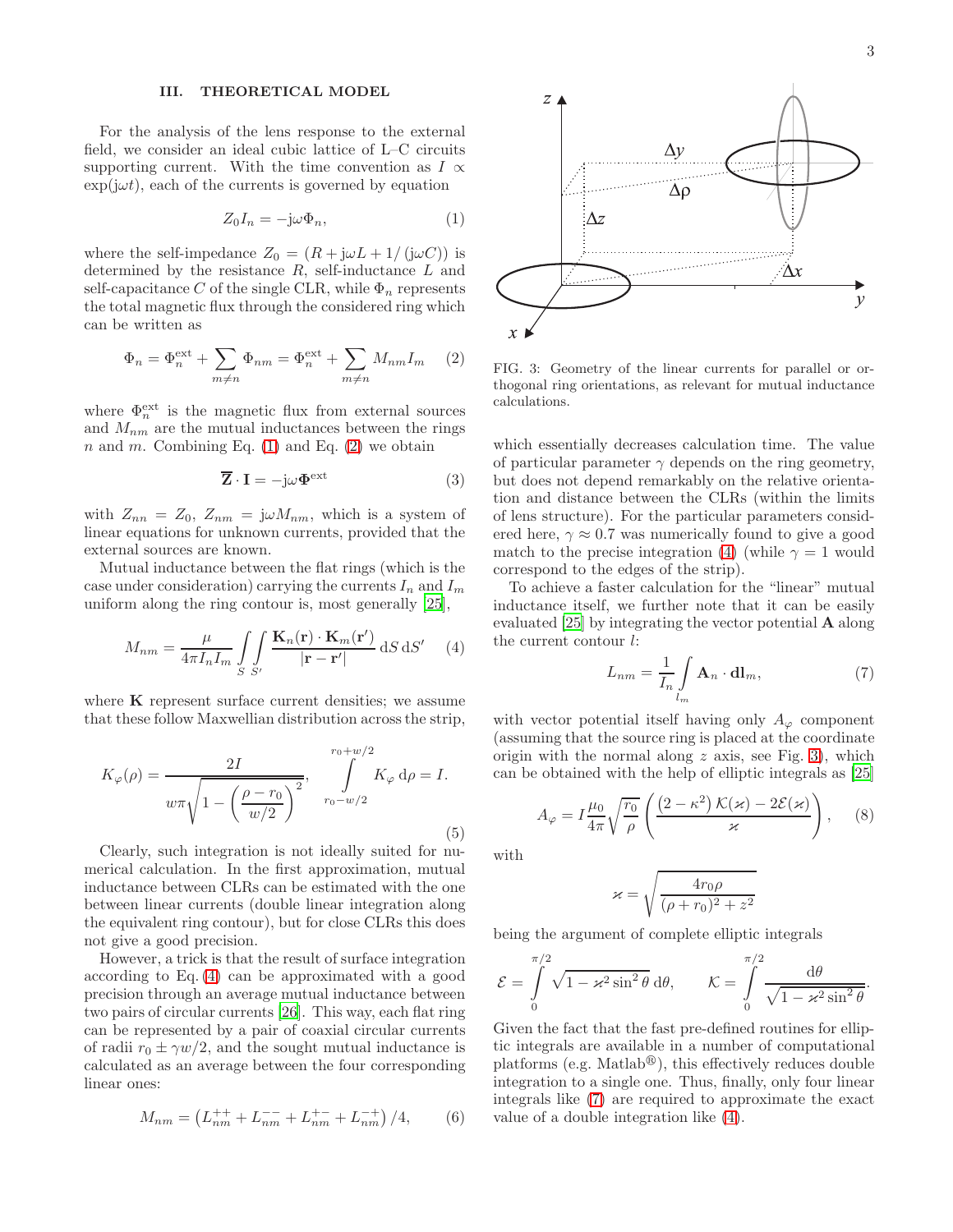### III. THEORETICAL MODEL

For the analysis of the lens response to the external field, we consider an ideal cubic lattice of L–C circuits supporting current. With the time convention as  $I \propto$  $\exp(i\omega t)$ , each of the currents is governed by equation

<span id="page-2-0"></span>
$$
Z_0 I_n = -\mathrm{j}\omega \Phi_n,\tag{1}
$$

where the self-impedance  $Z_0 = (R + j\omega L + 1/(j\omega C))$  is determined by the resistance  $R$ , self-inductance  $L$  and self-capacitance C of the single CLR, while  $\Phi_n$  represents the total magnetic flux through the considered ring which can be written as

<span id="page-2-1"></span>
$$
\Phi_n = \Phi_n^{\text{ext}} + \sum_{m \neq n} \Phi_{nm} = \Phi_n^{\text{ext}} + \sum_{m \neq n} M_{nm} I_m \quad (2)
$$

where  $\Phi_n^{\text{ext}}$  is the magnetic flux from external sources and  $M_{nm}$  are the mutual inductances between the rings n and m. Combining Eq.  $(1)$  and Eq.  $(2)$  we obtain

<span id="page-2-5"></span>
$$
\overline{\mathbf{Z}} \cdot \mathbf{I} = -j\omega \Phi^{\text{ext}} \tag{3}
$$

with  $Z_{nn} = Z_0$ ,  $Z_{nm} = j\omega M_{nm}$ , which is a system of linear equations for unknown currents, provided that the external sources are known.

Mutual inductance between the flat rings (which is the case under consideration) carrying the currents  $I_n$  and  $I_m$ uniform along the ring contour is, most generally [\[25](#page-6-14)],

<span id="page-2-2"></span>
$$
M_{nm} = \frac{\mu}{4\pi I_n I_m} \int\int\limits_{S} \frac{\mathbf{K}_n(\mathbf{r}) \cdot \mathbf{K}_m(\mathbf{r}')}{|\mathbf{r} - \mathbf{r}'|} dS dS' \tag{4}
$$

where  $K$  represent surface current densities; we assume that these follow Maxwellian distribution across the strip,

$$
K_{\varphi}(\rho) = \frac{2I}{w\pi\sqrt{1 - \left(\frac{\rho - r_0}{w/2}\right)^2}}, \int_{r_0 - w/2}^{r_0 + w/2} K_{\varphi} d\rho = I.
$$
\n(5)

Clearly, such integration is not ideally suited for numerical calculation. In the first approximation, mutual inductance between CLRs can be estimated with the one between linear currents (double linear integration along the equivalent ring contour), but for close CLRs this does not give a good precision.

However, a trick is that the result of surface integration according to Eq. [\(4\)](#page-2-2) can be approximated with a good precision through an average mutual inductance between two pairs of circular currents [\[26](#page-6-15)]. This way, each flat ring can be represented by a pair of coaxial circular currents of radii  $r_0 \pm \gamma w/2$ , and the sought mutual inductance is calculated as an average between the four corresponding linear ones:

<span id="page-2-6"></span>
$$
M_{nm} = \left(L_{nm}^{++} + L_{nm}^{--} + L_{nm}^{+-} + L_{nm}^{-+}\right)/4, \tag{6}
$$



<span id="page-2-3"></span>FIG. 3: Geometry of the linear currents for parallel or orthogonal ring orientations, as relevant for mutual inductance calculations.

which essentially decreases calculation time. The value of particular parameter  $\gamma$  depends on the ring geometry, but does not depend remarkably on the relative orientation and distance between the CLRs (within the limits of lens structure). For the particular parameters considered here,  $\gamma \approx 0.7$  was numerically found to give a good match to the precise integration [\(4\)](#page-2-2) (while  $\gamma = 1$  would correspond to the edges of the strip).

To achieve a faster calculation for the "linear" mutual inductance itself, we further note that it can be easily evaluated [\[25\]](#page-6-14) by integrating the vector potential A along the current contour l:

<span id="page-2-4"></span>
$$
L_{nm} = \frac{1}{I_n} \int\limits_{l_m} \mathbf{A}_n \cdot \mathbf{dl}_m, \tag{7}
$$

with vector potential itself having only  $A_{\varphi}$  component (assuming that the source ring is placed at the coordinate origin with the normal along  $z$  axis, see Fig. [3\)](#page-2-3), which can be obtained with the help of elliptic integrals as [\[25](#page-6-14)]

$$
A_{\varphi} = I \frac{\mu_0}{4\pi} \sqrt{\frac{r_0}{\rho}} \left( \frac{\left(2 - \kappa^2\right) \mathcal{K}(\varkappa) - 2\mathcal{E}(\varkappa)}{\varkappa} \right), \quad (8)
$$

with

$$
\varkappa = \sqrt{\frac{4r_0\rho}{(\rho + r_0)^2 + z^2}}
$$

being the argument of complete elliptic integrals

$$
\mathcal{E} = \int_{0}^{\pi/2} \sqrt{1 - \varkappa^2 \sin^2 \theta} \, d\theta, \qquad \mathcal{K} = \int_{0}^{\pi/2} \frac{d\theta}{\sqrt{1 - \varkappa^2 \sin^2 \theta}}.
$$

Given the fact that the fast pre-defined routines for elliptic integrals are available in a number of computational platforms (e.g. Matlab<sup>®</sup>), this effectively reduces double integration to a single one. Thus, finally, only four linear integrals like [\(7\)](#page-2-4) are required to approximate the exact value of a double integration like [\(4\)](#page-2-2).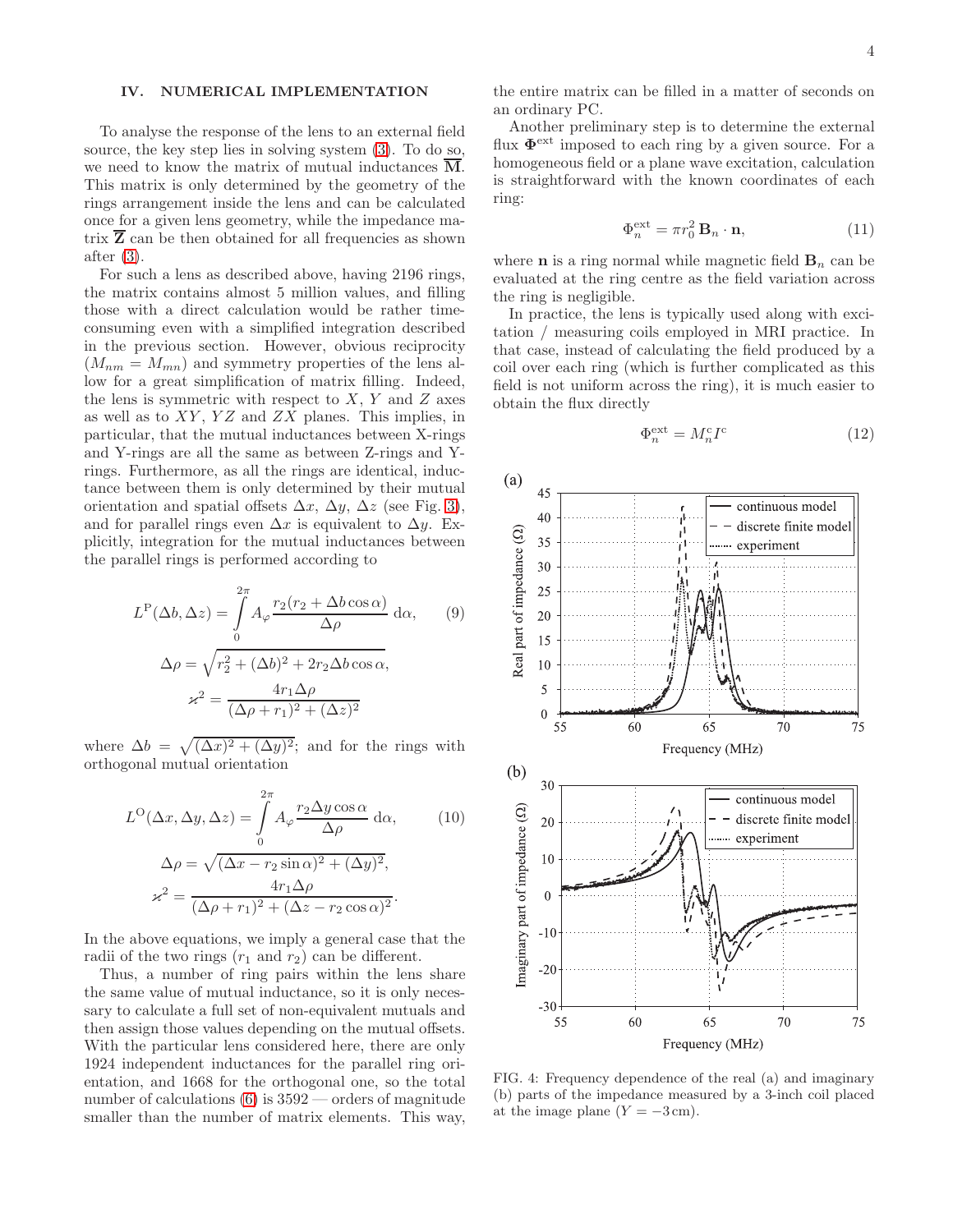## IV. NUMERICAL IMPLEMENTATION

To analyse the response of the lens to an external field source, the key step lies in solving system [\(3\)](#page-2-5). To do so, we need to know the matrix of mutual inductances M. This matrix is only determined by the geometry of the rings arrangement inside the lens and can be calculated once for a given lens geometry, while the impedance matrix  $\overline{Z}$  can be then obtained for all frequencies as shown after [\(3\)](#page-2-5).

For such a lens as described above, having 2196 rings, the matrix contains almost 5 million values, and filling those with a direct calculation would be rather timeconsuming even with a simplified integration described in the previous section. However, obvious reciprocity  $(M_{nm} = M_{mn})$  and symmetry properties of the lens allow for a great simplification of matrix filling. Indeed, the lens is symmetric with respect to  $X, Y$  and  $Z$  axes as well as to  $XY$ ,  $YZ$  and  $ZX$  planes. This implies, in particular, that the mutual inductances between X-rings and Y-rings are all the same as between Z-rings and Yrings. Furthermore, as all the rings are identical, inductance between them is only determined by their mutual orientation and spatial offsets  $\Delta x$ ,  $\Delta y$ ,  $\Delta z$  (see Fig. [3\)](#page-2-3), and for parallel rings even  $\Delta x$  is equivalent to  $\Delta y$ . Explicitly, integration for the mutual inductances between the parallel rings is performed according to

$$
L^{P}(\Delta b, \Delta z) = \int_{0}^{2\pi} A_{\varphi} \frac{r_{2}(r_{2} + \Delta b \cos \alpha)}{\Delta \rho} d\alpha, \qquad (9)
$$

$$
\Delta \rho = \sqrt{r_{2}^{2} + (\Delta b)^{2} + 2r_{2} \Delta b \cos \alpha},
$$

$$
\varkappa^{2} = \frac{4r_{1} \Delta \rho}{(\Delta \rho + r_{1})^{2} + (\Delta z)^{2}}
$$

where  $\Delta b = \sqrt{(\Delta x)^2 + (\Delta y)^2}$ ; and for the rings with orthogonal mutual orientation

$$
L^{O}(\Delta x, \Delta y, \Delta z) = \int_{0}^{2\pi} A_{\varphi} \frac{r_2 \Delta y \cos \alpha}{\Delta \rho} d\alpha,
$$
 (10)  

$$
\Delta \rho = \sqrt{(\Delta x - r_2 \sin \alpha)^2 + (\Delta y)^2},
$$
  

$$
\varkappa^2 = \frac{4r_1 \Delta \rho}{(\Delta \rho + r_1)^2 + (\Delta z - r_2 \cos \alpha)^2}.
$$

In the above equations, we imply a general case that the radii of the two rings  $(r_1 \text{ and } r_2)$  can be different.

Thus, a number of ring pairs within the lens share the same value of mutual inductance, so it is only necessary to calculate a full set of non-equivalent mutuals and then assign those values depending on the mutual offsets. With the particular lens considered here, there are only 1924 independent inductances for the parallel ring orientation, and 1668 for the orthogonal one, so the total number of calculations  $(6)$  is  $3592$  — orders of magnitude smaller than the number of matrix elements. This way,

the entire matrix can be filled in a matter of seconds on an ordinary PC.

Another preliminary step is to determine the external flux  $\Phi^{\text{ext}}$  imposed to each ring by a given source. For a homogeneous field or a plane wave excitation, calculation is straightforward with the known coordinates of each ring:

$$
\Phi_n^{\text{ext}} = \pi r_0^2 \, \mathbf{B}_n \cdot \mathbf{n},\tag{11}
$$

where **n** is a ring normal while magnetic field  $\mathbf{B}_n$  can be evaluated at the ring centre as the field variation across the ring is negligible.

In practice, the lens is typically used along with excitation / measuring coils employed in MRI practice. In that case, instead of calculating the field produced by a coil over each ring (which is further complicated as this field is not uniform across the ring), it is much easier to obtain the flux directly

$$
\Phi_n^{\text{ext}} = M_n^{\text{c}} I^{\text{c}} \tag{12}
$$



<span id="page-3-0"></span>FIG. 4: Frequency dependence of the real (a) and imaginary (b) parts of the impedance measured by a 3-inch coil placed at the image plane  $(Y = -3 \text{ cm})$ .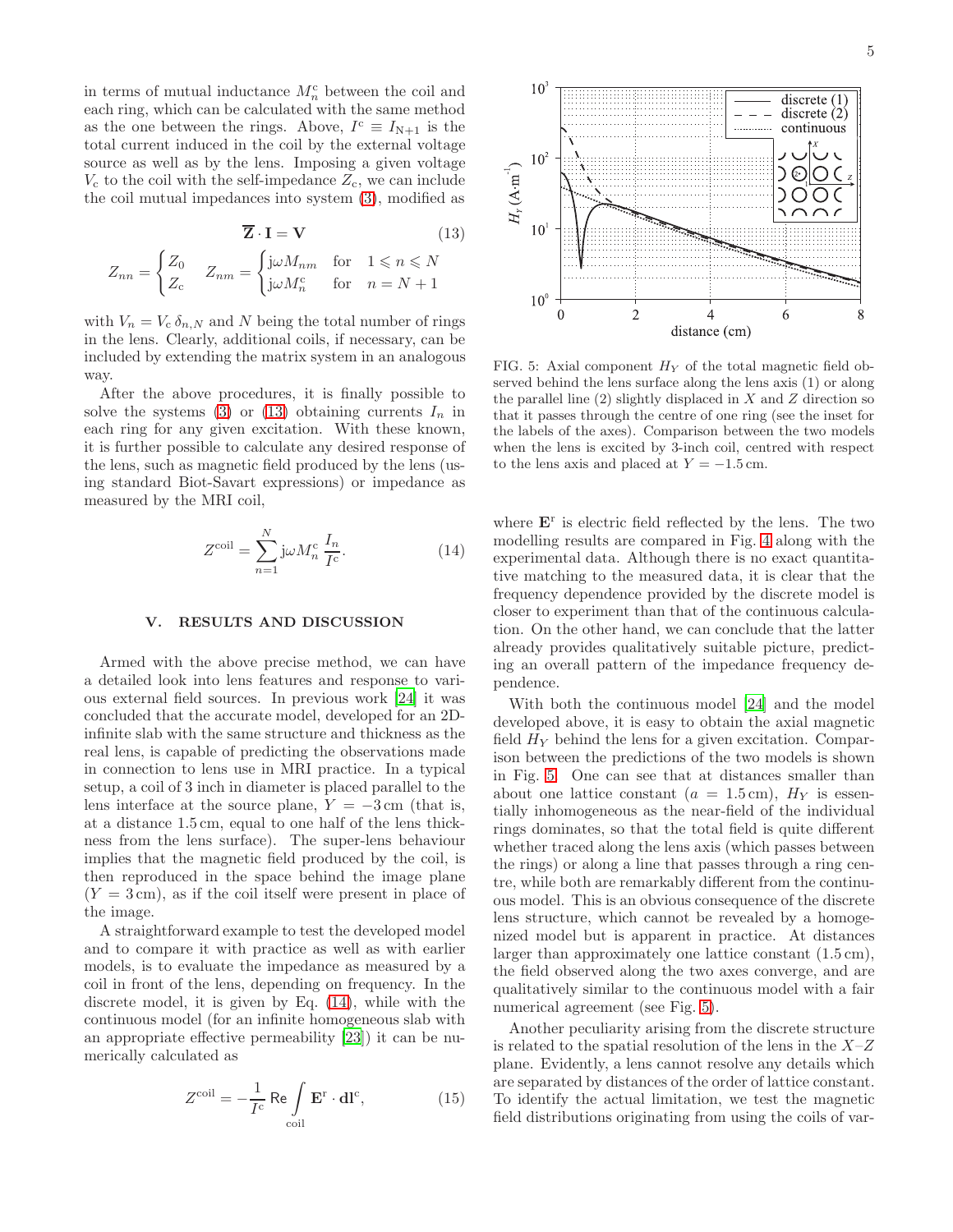in terms of mutual inductance  $M_n^c$  between the coil and each ring, which can be calculated with the same method as the one between the rings. Above,  $I^c \equiv I_{N+1}$  is the total current induced in the coil by the external voltage source as well as by the lens. Imposing a given voltage  $V_c$  to the coil with the self-impedance  $Z_c$ , we can include the coil mutual impedances into system [\(3\)](#page-2-5), modified as

$$
\overline{\mathbf{Z}} \cdot \mathbf{I} = \mathbf{V} \tag{13}
$$

$$
Z_{nn} = \begin{cases} Z_0 & Z_{nm} = \begin{cases} j\omega M_{nm} & \text{for} \quad 1 \leqslant n \leqslant N \\ Z_c & \text{for} \quad n = N + 1 \end{cases} \end{cases}
$$

with  $V_n = V_c \delta_{n,N}$  and N being the total number of rings in the lens. Clearly, additional coils, if necessary, can be included by extending the matrix system in an analogous way.

After the above procedures, it is finally possible to solve the systems [\(3\)](#page-2-5) or [\(13\)](#page-4-0) obtaining currents  $I_n$  in each ring for any given excitation. With these known, it is further possible to calculate any desired response of the lens, such as magnetic field produced by the lens (using standard Biot-Savart expressions) or impedance as measured by the MRI coil,

<span id="page-4-1"></span>
$$
Z^{\text{coil}} = \sum_{n=1}^{N} j\omega M_n^{\text{c}} \frac{I_n}{I^{\text{c}}}.
$$
 (14)

#### V. RESULTS AND DISCUSSION

Armed with the above precise method, we can have a detailed look into lens features and response to various external field sources. In previous work [\[24\]](#page-6-13) it was concluded that the accurate model, developed for an 2Dinfinite slab with the same structure and thickness as the real lens, is capable of predicting the observations made in connection to lens use in MRI practice. In a typical setup, a coil of 3 inch in diameter is placed parallel to the lens interface at the source plane,  $Y = -3$  cm (that is, at a distance 1.5 cm, equal to one half of the lens thickness from the lens surface). The super-lens behaviour implies that the magnetic field produced by the coil, is then reproduced in the space behind the image plane  $(Y = 3 \text{ cm})$ , as if the coil itself were present in place of the image.

A straightforward example to test the developed model and to compare it with practice as well as with earlier models, is to evaluate the impedance as measured by a coil in front of the lens, depending on frequency. In the discrete model, it is given by Eq. [\(14\)](#page-4-1), while with the continuous model (for an infinite homogeneous slab with an appropriate effective permeability [\[23\]](#page-6-12)) it can be numerically calculated as

$$
Z^{\text{coil}} = -\frac{1}{I^{\text{c}}} \text{ Re} \int_{\text{coil}} \mathbf{E}^{\text{r}} \cdot \mathbf{dl}^{\text{c}},\tag{15}
$$



<span id="page-4-2"></span><span id="page-4-0"></span>FIG. 5: Axial component  $H_Y$  of the total magnetic field observed behind the lens surface along the lens axis (1) or along the parallel line  $(2)$  slightly displaced in X and Z direction so that it passes through the centre of one ring (see the inset for the labels of the axes). Comparison between the two models when the lens is excited by 3-inch coil, centred with respect to the lens axis and placed at  $Y = -1.5$  cm.

where  $\mathbf{E}^{\text{r}}$  is electric field reflected by the lens. The two modelling results are compared in Fig. [4](#page-3-0) along with the experimental data. Although there is no exact quantitative matching to the measured data, it is clear that the frequency dependence provided by the discrete model is closer to experiment than that of the continuous calculation. On the other hand, we can conclude that the latter already provides qualitatively suitable picture, predicting an overall pattern of the impedance frequency dependence.

With both the continuous model [\[24](#page-6-13)] and the model developed above, it is easy to obtain the axial magnetic field  $H_Y$  behind the lens for a given excitation. Comparison between the predictions of the two models is shown in Fig. [5.](#page-4-2) One can see that at distances smaller than about one lattice constant  $(a = 1.5 \text{ cm})$ ,  $H_Y$  is essentially inhomogeneous as the near-field of the individual rings dominates, so that the total field is quite different whether traced along the lens axis (which passes between the rings) or along a line that passes through a ring centre, while both are remarkably different from the continuous model. This is an obvious consequence of the discrete lens structure, which cannot be revealed by a homogenized model but is apparent in practice. At distances larger than approximately one lattice constant (1.5 cm), the field observed along the two axes converge, and are qualitatively similar to the continuous model with a fair numerical agreement (see Fig. [5\)](#page-4-2).

Another peculiarity arising from the discrete structure is related to the spatial resolution of the lens in the  $X-Z$ plane. Evidently, a lens cannot resolve any details which are separated by distances of the order of lattice constant. To identify the actual limitation, we test the magnetic field distributions originating from using the coils of var-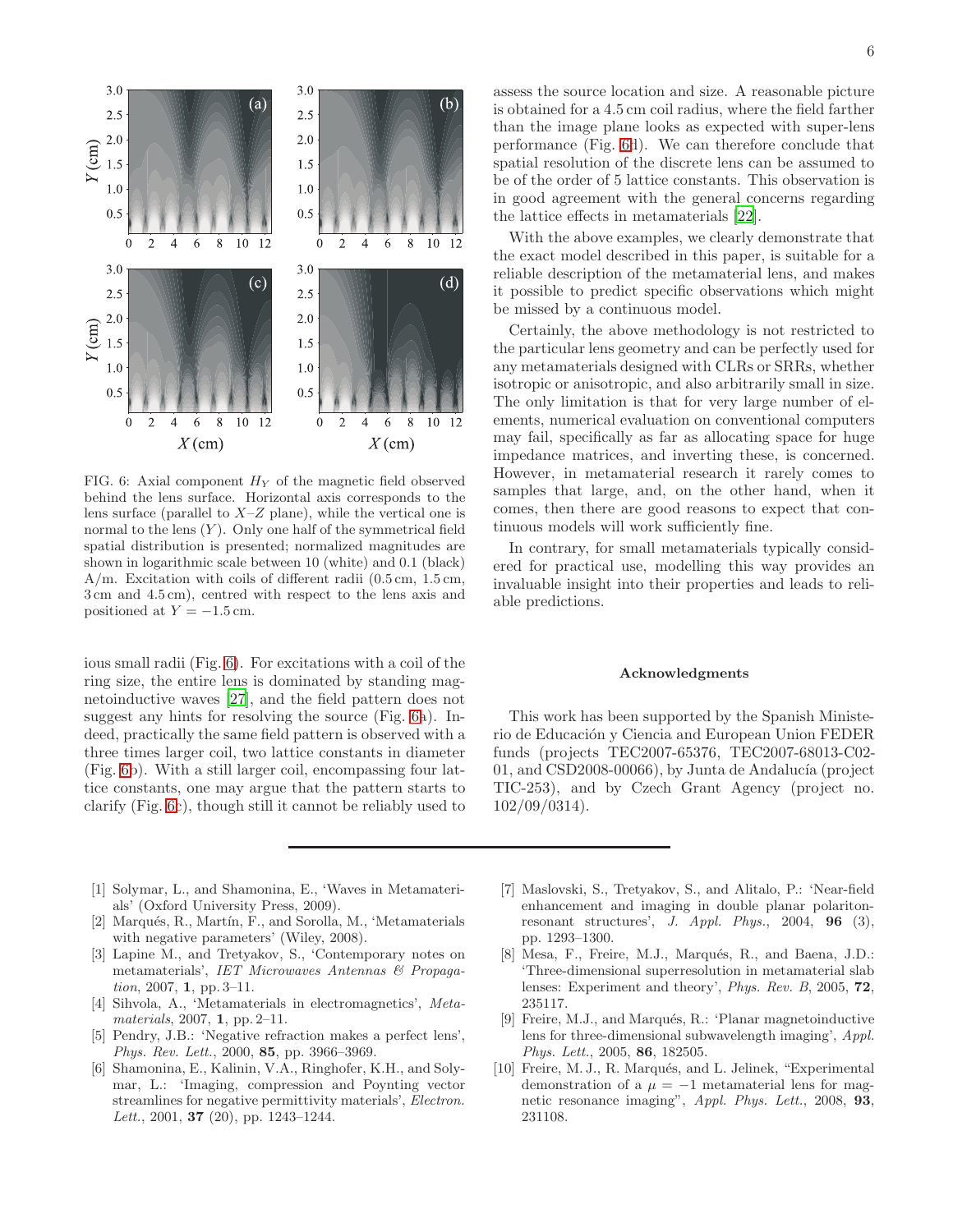

<span id="page-5-10"></span>FIG. 6: Axial component  $H_Y$  of the magnetic field observed behind the lens surface. Horizontal axis corresponds to the lens surface (parallel to  $X-Z$  plane), while the vertical one is normal to the lens  $(Y)$ . Only one half of the symmetrical field spatial distribution is presented; normalized magnitudes are shown in logarithmic scale between 10 (white) and 0.1 (black) A/m. Excitation with coils of different radii (0.5 cm, 1.5 cm, 3 cm and 4.5 cm), centred with respect to the lens axis and positioned at  $Y = -1.5$  cm.

ious small radii (Fig. [6\)](#page-5-10). For excitations with a coil of the ring size, the entire lens is dominated by standing magnetoinductive waves [\[27\]](#page-6-16), and the field pattern does not suggest any hints for resolving the source (Fig. [6a](#page-5-10)). Indeed, practically the same field pattern is observed with a three times larger coil, two lattice constants in diameter (Fig. [6b](#page-5-10)). With a still larger coil, encompassing four lattice constants, one may argue that the pattern starts to clarify (Fig. [6c](#page-5-10)), though still it cannot be reliably used to

assess the source location and size. A reasonable picture is obtained for a 4.5 cm coil radius, where the field farther than the image plane looks as expected with super-lens performance (Fig. [6d](#page-5-10)). We can therefore conclude that spatial resolution of the discrete lens can be assumed to be of the order of 5 lattice constants. This observation is in good agreement with the general concerns regarding the lattice effects in metamaterials [\[22](#page-6-11)].

With the above examples, we clearly demonstrate that the exact model described in this paper, is suitable for a reliable description of the metamaterial lens, and makes it possible to predict specific observations which might be missed by a continuous model.

Certainly, the above methodology is not restricted to the particular lens geometry and can be perfectly used for any metamaterials designed with CLRs or SRRs, whether isotropic or anisotropic, and also arbitrarily small in size. The only limitation is that for very large number of elements, numerical evaluation on conventional computers may fail, specifically as far as allocating space for huge impedance matrices, and inverting these, is concerned. However, in metamaterial research it rarely comes to samples that large, and, on the other hand, when it comes, then there are good reasons to expect that continuous models will work sufficiently fine.

In contrary, for small metamaterials typically considered for practical use, modelling this way provides an invaluable insight into their properties and leads to reliable predictions.

#### Acknowledgments

This work has been supported by the Spanish Ministerio de Educación y Ciencia and European Union FEDER funds (projects TEC2007-65376, TEC2007-68013-C02-  $01$ , and CSD2008-00066), by Junta de Andalucía (project TIC-253), and by Czech Grant Agency (project no. 102/09/0314).

- <span id="page-5-0"></span>[1] Solymar, L., and Shamonina, E., 'Waves in Metamaterials' (Oxford University Press, 2009).
- <span id="page-5-1"></span>[2] Marqués, R., Martín, F., and Sorolla, M., 'Metamaterials with negative parameters' (Wiley, 2008).
- <span id="page-5-2"></span>[3] Lapine M., and Tretyakov, S., 'Contemporary notes on metamaterials', IET Microwaves Antennas & Propagation, 2007, 1, pp. 3–11.
- <span id="page-5-3"></span>[4] Sihvola, A., 'Metamaterials in electromagnetics', Metamaterials, 2007, 1, pp. 2–11.
- <span id="page-5-4"></span>[5] Pendry, J.B.: 'Negative refraction makes a perfect lens', Phys. Rev. Lett., 2000, 85, pp. 3966-3969.
- <span id="page-5-5"></span>[6] Shamonina, E., Kalinin, V.A., Ringhofer, K.H., and Solymar, L.: 'Imaging, compression and Poynting vector streamlines for negative permittivity materials', Electron. Lett., 2001, 37 (20), pp. 1243-1244.
- <span id="page-5-6"></span>[7] Maslovski, S., Tretyakov, S., and Alitalo, P.: 'Near-field enhancement and imaging in double planar polaritonresonant structures', J. Appl. Phys., 2004,  $96$  (3), pp. 1293–1300.
- <span id="page-5-7"></span>[8] Mesa, F., Freire, M.J., Marqués, R., and Baena, J.D.: 'Three-dimensional superresolution in metamaterial slab lenses: Experiment and theory', Phys. Rev. B, 2005, 72, 235117.
- <span id="page-5-8"></span>[9] Freire, M.J., and Marqués, R.: 'Planar magnetoinductive lens for three-dimensional subwavelength imaging', Appl. Phys. Lett., 2005, 86, 182505.
- <span id="page-5-9"></span>[10] Freire, M. J., R. Marqués, and L. Jelinek, "Experimental demonstration of a  $\mu = -1$  metamaterial lens for magnetic resonance imaging", Appl. Phys. Lett., 2008, 93, 231108.